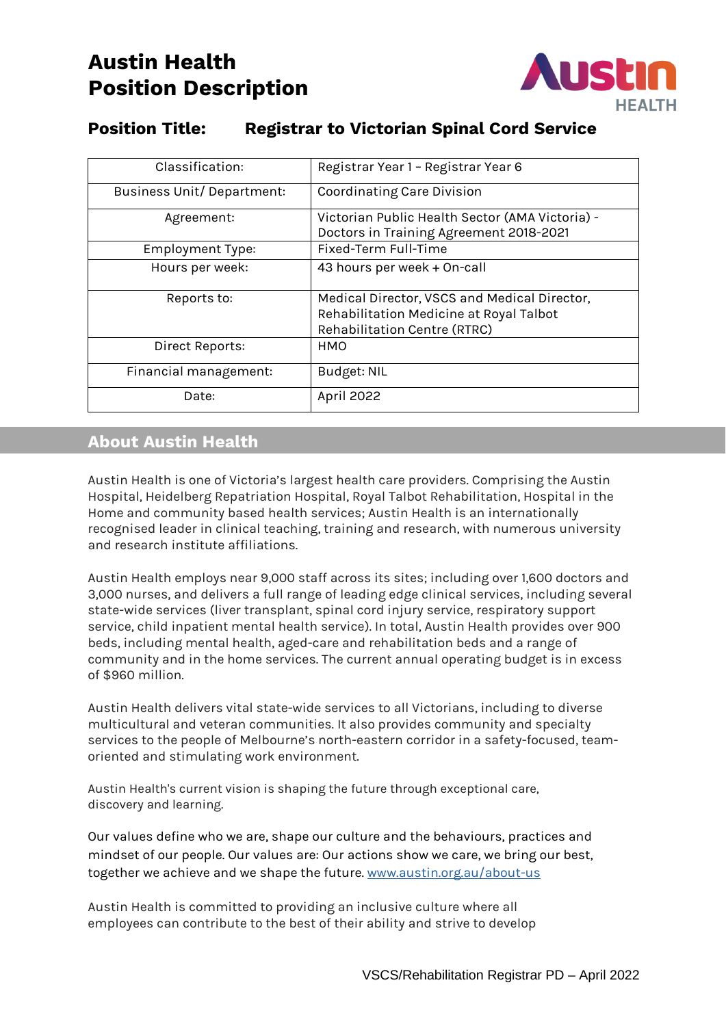# **Austin Health Position Description**



# **Position Title: Registrar to Victorian Spinal Cord Service**

| Classification:                   | Registrar Year 1 - Registrar Year 6             |
|-----------------------------------|-------------------------------------------------|
| <b>Business Unit/ Department:</b> | Coordinating Care Division                      |
| Agreement:                        | Victorian Public Health Sector (AMA Victoria) - |
|                                   | Doctors in Training Agreement 2018-2021         |
| <b>Employment Type:</b>           | Fixed-Term Full-Time                            |
| Hours per week:                   | 43 hours per week + On-call                     |
| Reports to:                       | Medical Director, VSCS and Medical Director,    |
|                                   | Rehabilitation Medicine at Royal Talbot         |
|                                   | Rehabilitation Centre (RTRC)                    |
| Direct Reports:                   | <b>HMO</b>                                      |
| Financial management:             | Budget: NIL                                     |
| Date:                             | April 2022                                      |

## **About Austin Health**

Austin Health is one of Victoria's largest health care providers. Comprising the Austin Hospital, Heidelberg Repatriation Hospital, Royal Talbot Rehabilitation, Hospital in the Home and community based health services; Austin Health is an internationally recognised leader in clinical teaching, training and research, with numerous university and research institute affiliations.

Austin Health employs near 9,000 staff across its sites; including over 1,600 doctors and 3,000 nurses, and delivers a full range of leading edge clinical services, including several state-wide services (liver transplant, spinal cord injury service, respiratory support service, child inpatient mental health service). In total, Austin Health provides over 900 beds, including mental health, aged-care and rehabilitation beds and a range of community and in the home services. The current annual operating budget is in excess of \$960 million.

Austin Health delivers vital state-wide services to all Victorians, including to diverse multicultural and veteran communities. It also provides community and specialty services to the people of Melbourne's north-eastern corridor in a safety-focused, teamoriented and stimulating work environment.

Austin Health's current vision is shaping the future through exceptional care, discovery and learning.

Our values define who we are, shape our culture and the behaviours, practices and mindset of our people. Our values are: Our actions show we care, we bring our best, together we achieve and we shape the future. [www.austin.org.au/about-us](http://www.austin.org.au/about-us)

Austin Health is committed to providing an inclusive culture where all employees can contribute to the best of their ability and strive to develop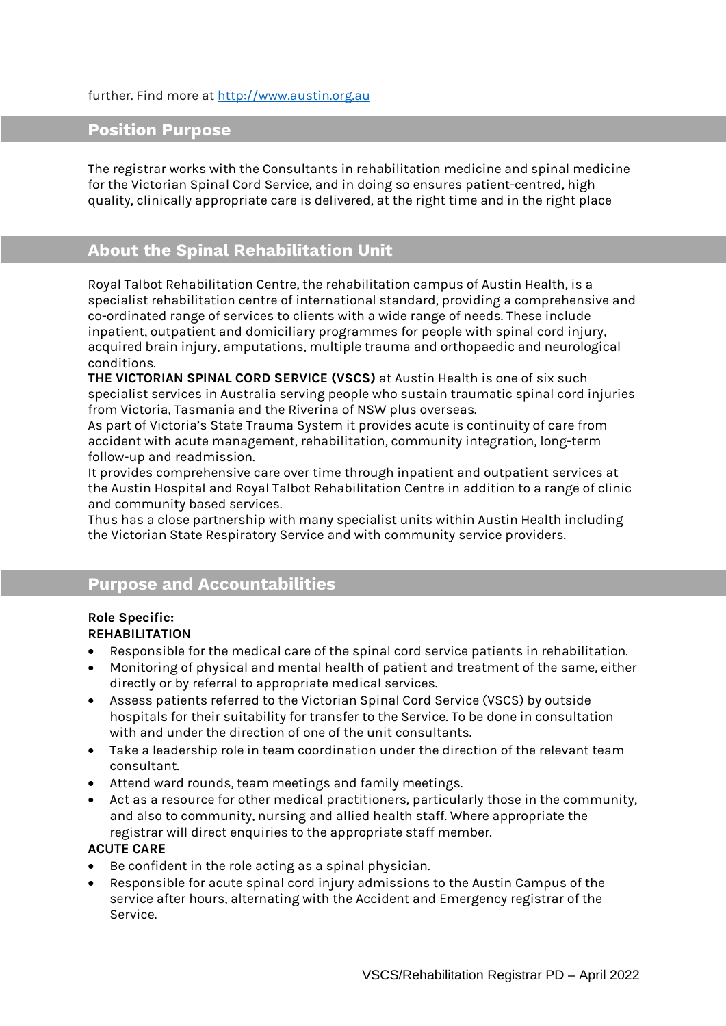#### further. Find more at [http://www.austin.org.au](http://www.austin.org.au/)

### **Position Purpose**

The registrar works with the Consultants in rehabilitation medicine and spinal medicine for the Victorian Spinal Cord Service, and in doing so ensures patient-centred, high quality, clinically appropriate care is delivered, at the right time and in the right place

### **About the Spinal Rehabilitation Unit**

Royal Talbot Rehabilitation Centre, the rehabilitation campus of Austin Health, is a specialist rehabilitation centre of international standard, providing a comprehensive and co-ordinated range of services to clients with a wide range of needs. These include inpatient, outpatient and domiciliary programmes for people with spinal cord injury, acquired brain injury, amputations, multiple trauma and orthopaedic and neurological conditions.

**THE VICTORIAN SPINAL CORD SERVICE (VSCS)** at Austin Health is one of six such specialist services in Australia serving people who sustain traumatic spinal cord injuries from Victoria, Tasmania and the Riverina of NSW plus overseas.

As part of Victoria's State Trauma System it provides acute is continuity of care from accident with acute management, rehabilitation, community integration, long-term follow-up and readmission.

It provides comprehensive care over time through inpatient and outpatient services at the Austin Hospital and Royal Talbot Rehabilitation Centre in addition to a range of clinic and community based services.

Thus has a close partnership with many specialist units within Austin Health including the Victorian State Respiratory Service and with community service providers.

### **Purpose and Accountabilities**

#### **Role Specific: REHABILITATION**

- Responsible for the medical care of the spinal cord service patients in rehabilitation.
- Monitoring of physical and mental health of patient and treatment of the same, either directly or by referral to appropriate medical services.
- Assess patients referred to the Victorian Spinal Cord Service (VSCS) by outside hospitals for their suitability for transfer to the Service. To be done in consultation with and under the direction of one of the unit consultants.
- Take a leadership role in team coordination under the direction of the relevant team consultant.
- Attend ward rounds, team meetings and family meetings.
- Act as a resource for other medical practitioners, particularly those in the community, and also to community, nursing and allied health staff. Where appropriate the registrar will direct enquiries to the appropriate staff member.

#### **ACUTE CARE**

- Be confident in the role acting as a spinal physician.
- Responsible for acute spinal cord injury admissions to the Austin Campus of the service after hours, alternating with the Accident and Emergency registrar of the Service.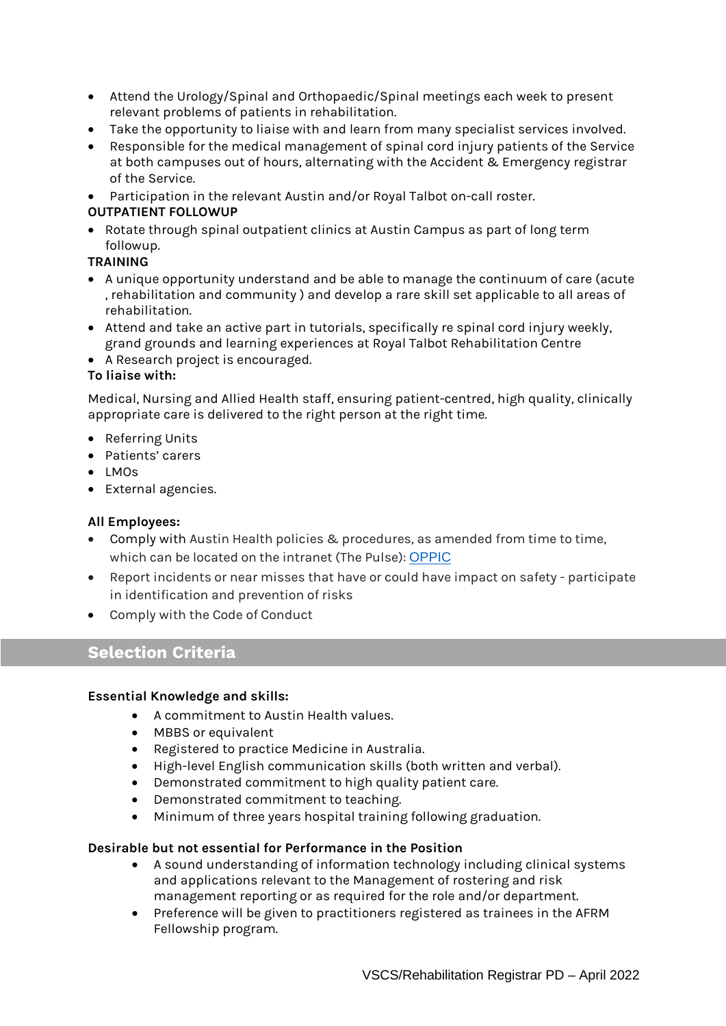- Attend the Urology/Spinal and Orthopaedic/Spinal meetings each week to present relevant problems of patients in rehabilitation.
- Take the opportunity to liaise with and learn from many specialist services involved.
- Responsible for the medical management of spinal cord injury patients of the Service at both campuses out of hours, alternating with the Accident & Emergency registrar of the Service.
- Participation in the relevant Austin and/or Royal Talbot on-call roster.

### **OUTPATIENT FOLLOWUP**

• Rotate through spinal outpatient clinics at Austin Campus as part of long term followup.

### **TRAINING**

- A unique opportunity understand and be able to manage the continuum of care (acute , rehabilitation and community ) and develop a rare skill set applicable to all areas of rehabilitation.
- Attend and take an active part in tutorials, specifically re spinal cord injury weekly, grand grounds and learning experiences at Royal Talbot Rehabilitation Centre
- A Research project is encouraged.

### **To liaise with:**

Medical, Nursing and Allied Health staff, ensuring patient-centred, high quality, clinically appropriate care is delivered to the right person at the right time.

- Referring Units
- Patients' carers
- LMOs
- External agencies.

#### **All Employees:**

- Comply with Austin Health policies & procedures, as amended from time to time, which can be located on the intranet (The Pulse): [OPPIC](https://austinhealth.sharepoint.com/sites/OPPIC)
- Report incidents or near misses that have or could have impact on safety participate in identification and prevention of risks
- Comply with the Code of Conduct

### **Selection Criteria**

#### **Essential Knowledge and skills:**

- A commitment to Austin Health values.
- MBBS or equivalent
- Registered to practice Medicine in Australia.
- High-level English communication skills (both written and verbal).
- Demonstrated commitment to high quality patient care.
- Demonstrated commitment to teaching.
- Minimum of three years hospital training following graduation.

#### **Desirable but not essential for Performance in the Position**

- A sound understanding of information technology including clinical systems and applications relevant to the Management of rostering and risk management reporting or as required for the role and/or department.
- Preference will be given to practitioners registered as trainees in the AFRM Fellowship program.